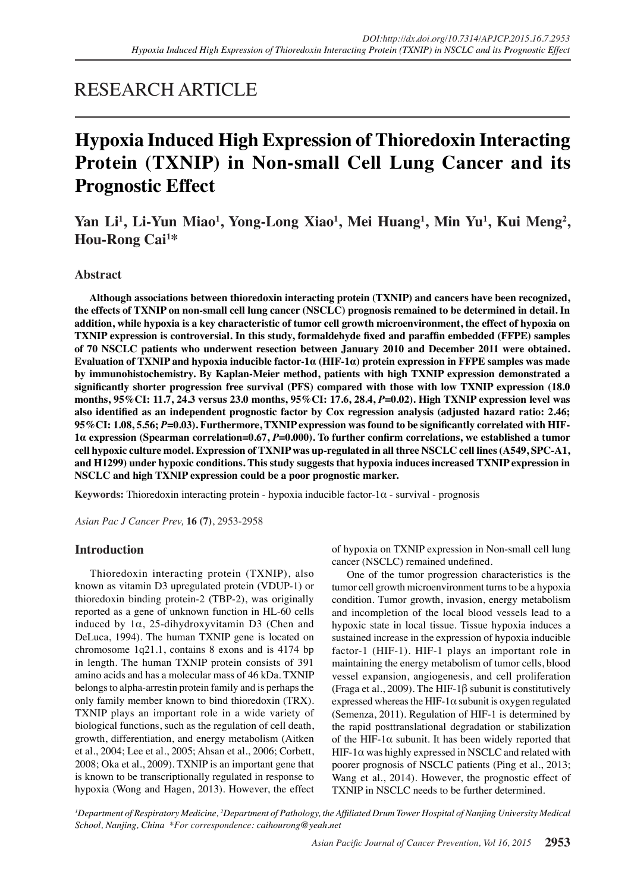## RESEARCH ARTICLE

# **Hypoxia Induced High Expression of Thioredoxin Interacting Protein (TXNIP) in Non-small Cell Lung Cancer and its Prognostic Effect**

Yan Li<sup>1</sup>, Li-Yun Miao<sup>1</sup>, Yong-Long Xiao<sup>1</sup>, Mei Huang<sup>1</sup>, Min Yu<sup>1</sup>, Kui Meng<sup>2</sup>, **Hou-Rong Cai<sup>1</sup> \***

## **Abstract**

**Although associations between thioredoxin interacting protein (TXNIP) and cancers have been recognized, the effects of TXNIP on non-small cell lung cancer (NSCLC) prognosis remained to be determined in detail. In addition, while hypoxia is a key characteristic of tumor cell growth microenvironment, the effect of hypoxia on TXNIP expression is controversial. In this study, formaldehyde fixed and paraffin embedded (FFPE) samples of 70 NSCLC patients who underwent resection between January 2010 and December 2011 were obtained. Evaluation of TXNIP and hypoxia inducible factor-1α (HIF-1α) protein expression in FFPE samples was made by immunohistochemistry. By Kaplan-Meier method, patients with high TXNIP expression demonstrated a significantly shorter progression free survival (PFS) compared with those with low TXNIP expression (18.0 months, 95%CI: 11.7, 24.3 versus 23.0 months, 95%CI: 17.6, 28.4,** *P***=0.02). High TXNIP expression level was also identified as an independent prognostic factor by Cox regression analysis (adjusted hazard ratio: 2.46; 95%CI: 1.08, 5.56;** *P***=0.03). Furthermore, TXNIP expression was found to be significantly correlated with HIF-1α expression (Spearman correlation=0.67,** *P***=0.000). To further confirm correlations, we established a tumor cell hypoxic culture model. Expression of TXNIP was up-regulated in all three NSCLC cell lines (A549, SPC-A1, and H1299) under hypoxic conditions. This study suggests that hypoxia induces increased TXNIP expression in NSCLC and high TXNIP expression could be a poor prognostic marker.**

**Keywords:** Thioredoxin interacting protein - hypoxia inducible factor-1α - survival - prognosis

*Asian Pac J Cancer Prev,* **16 (7)**, 2953-2958

## **Introduction**

Thioredoxin interacting protein (TXNIP), also known as vitamin D3 upregulated protein (VDUP-1) or thioredoxin binding protein-2 (TBP-2), was originally reported as a gene of unknown function in HL-60 cells induced by  $1\alpha$ , 25-dihydroxyvitamin D3 (Chen and DeLuca, 1994). The human TXNIP gene is located on chromosome 1q21.1, contains 8 exons and is 4174 bp in length. The human TXNIP protein consists of 391 amino acids and has a molecular mass of 46 kDa. TXNIP belongs to alpha-arrestin protein family and is perhaps the only family member known to bind thioredoxin (TRX). TXNIP plays an important role in a wide variety of biological functions, such as the regulation of cell death, growth, differentiation, and energy metabolism (Aitken et al., 2004; Lee et al., 2005; Ahsan et al., 2006; Corbett, 2008; Oka et al., 2009). TXNIP is an important gene that is known to be transcriptionally regulated in response to hypoxia (Wong and Hagen, 2013). However, the effect of hypoxia on TXNIP expression in Non-small cell lung cancer (NSCLC) remained undefined.

One of the tumor progression characteristics is the tumor cell growth microenvironment turns to be a hypoxia condition. Tumor growth, invasion, energy metabolism and incompletion of the local blood vessels lead to a hypoxic state in local tissue. Tissue hypoxia induces a sustained increase in the expression of hypoxia inducible factor-1 (HIF-1). HIF-1 plays an important role in maintaining the energy metabolism of tumor cells, blood vessel expansion, angiogenesis, and cell proliferation (Fraga et al., 2009). The HIF-1β subunit is constitutively expressed whereas the HIF-1 $\alpha$  subunit is oxygen regulated (Semenza, 2011). Regulation of HIF-1 is determined by the rapid posttranslational degradation or stabilization of the HIF-1 $\alpha$  subunit. It has been widely reported that HIF-1 $\alpha$  was highly expressed in NSCLC and related with poorer prognosis of NSCLC patients (Ping et al., 2013; Wang et al., 2014). However, the prognostic effect of TXNIP in NSCLC needs to be further determined.

*1 Department of Respiratory Medicine, 2 Department of Pathology, the Affiliated Drum Tower Hospital of Nanjing University Medical School, Nanjing, China \*For correspondence: caihourong@yeah.net*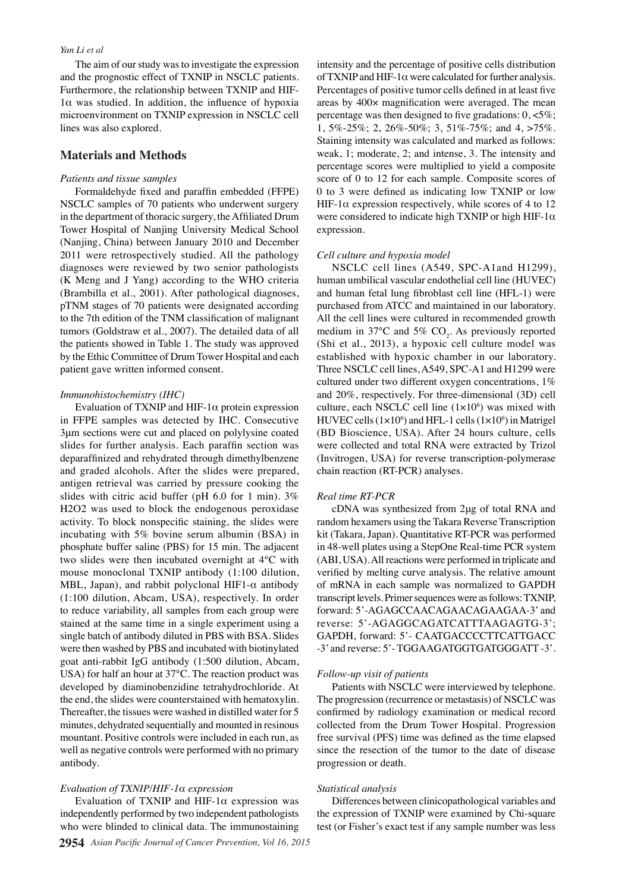#### *Yan Li et al*

The aim of our study was to investigate the expression and the prognostic effect of TXNIP in NSCLC patients. Furthermore, the relationship between TXNIP and HIF- $1\alpha$  was studied. In addition, the influence of hypoxia microenvironment on TXNIP expression in NSCLC cell lines was also explored.

### **Materials and Methods**

#### *Patients and tissue samples*

Formaldehyde fixed and paraffin embedded (FFPE) NSCLC samples of 70 patients who underwent surgery in the department of thoracic surgery, the Affiliated Drum Tower Hospital of Nanjing University Medical School (Nanjing, China) between January 2010 and December 2011 were retrospectively studied. All the pathology diagnoses were reviewed by two senior pathologists (K Meng and J Yang) according to the WHO criteria (Brambilla et al., 2001). After pathological diagnoses, pTNM stages of 70 patients were designated according to the 7th edition of the TNM classification of malignant tumors (Goldstraw et al., 2007). The detailed data of all the patients showed in Table 1. The study was approved by the Ethic Committee of Drum Tower Hospital and each patient gave written informed consent.

#### *Immunohistochemistry (IHC)*

Evaluation of TXNIP and HIF-1 $\alpha$  protein expression in FFPE samples was detected by IHC. Consecutive 3μm sections were cut and placed on polylysine coated slides for further analysis. Each paraffin section was deparaffinized and rehydrated through dimethylbenzene and graded alcohols. After the slides were prepared, antigen retrieval was carried by pressure cooking the slides with citric acid buffer (pH 6.0 for 1 min). 3% H2O2 was used to block the endogenous peroxidase activity. To block nonspecific staining, the slides were incubating with 5% bovine serum albumin (BSA) in phosphate buffer saline (PBS) for 15 min. The adjacent two slides were then incubated overnight at 4℃ with mouse monoclonal TXNIP antibody (1:100 dilution, MBL, Japan), and rabbit polyclonal HIF1- $\alpha$  antibody (1:100 dilution, Abcam, USA), respectively. In order to reduce variability, all samples from each group were stained at the same time in a single experiment using a single batch of antibody diluted in PBS with BSA. Slides were then washed by PBS and incubated with biotinylated goat anti-rabbit IgG antibody (1:500 dilution, Abcam, USA) for half an hour at 37℃. The reaction product was developed by diaminobenzidine tetrahydrochloride. At the end, the slides were counterstained with hematoxylin. Thereafter, the tissues were washed in distilled water for 5 minutes, dehydrated sequentially and mounted in resinous mountant. Positive controls were included in each run, as well as negative controls were performed with no primary antibody.

#### *Evaluation of TXNIP/HIF-1α expression*

Evaluation of TXNIP and HIF-1α expression was independently performed by two independent pathologists who were blinded to clinical data. The immunostaining

intensity and the percentage of positive cells distribution of TXNIP and HIF-1 $\alpha$  were calculated for further analysis. Percentages of positive tumor cells defined in at least five areas by 400× magnification were averaged. The mean percentage was then designed to five gradations:  $0, <5\%$ ; 1, 5%-25%; 2, 26%-50%; 3, 51%-75%; and 4, >75%. Staining intensity was calculated and marked as follows: weak, 1; moderate, 2; and intense, 3. The intensity and percentage scores were multiplied to yield a composite score of 0 to 12 for each sample. Composite scores of 0 to 3 were defined as indicating low TXNIP or low HIF-1 $\alpha$  expression respectively, while scores of 4 to 12 were considered to indicate high TXNIP or high HIF-1 $\alpha$ expression.

#### *Cell culture and hypoxia model*

NSCLC cell lines (A549, SPC-A1and H1299), human umbilical vascular endothelial cell line (HUVEC) and human fetal lung fibroblast cell line (HFL-1) were purchased from ATCC and maintained in our laboratory. All the cell lines were cultured in recommended growth medium in 37°C and 5%  $CO<sub>2</sub>$ . As previously reported (Shi et al., 2013), a hypoxic cell culture model was established with hypoxic chamber in our laboratory. Three NSCLC cell lines, A549, SPC-A1 and H1299 were cultured under two different oxygen concentrations, 1% and 20%, respectively. For three-dimensional (3D) cell culture, each NSCLC cell line  $(1 \times 10^6)$  was mixed with HUVEC cells  $(1 \times 10^6)$  and HFL-1 cells  $(1 \times 10^6)$  in Matrigel (BD Bioscience, USA). After 24 hours culture, cells were collected and total RNA were extracted by Trizol (Invitrogen, USA) for reverse transcription-polymerase chain reaction (RT-PCR) analyses.

#### *Real time RT-PCR*

cDNA was synthesized from 2μg of total RNA and random hexamers using the Takara Reverse Transcription kit (Takara, Japan). Quantitative RT-PCR was performed in 48-well plates using a StepOne Real-time PCR system (ABI, USA). All reactions were performed in triplicate and verified by melting curve analysis. The relative amount of mRNA in each sample was normalized to GAPDH transcript levels. Primer sequences were as follows: TXNIP, forward: 5'-AGAGCCAACAGAACAGAAGAA-3' and reverse: 5'-AGAGGCAGATCATTTAAGAGTG-3'; GAPDH, forward: 5'- CAATGACCCCTTCATTGACC -3' and reverse: 5'- TGGAAGATGGTGATGGGATT -3'.

#### *Follow-up visit of patients*

Patients with NSCLC were interviewed by telephone. The progression (recurrence or metastasis) of NSCLC was confirmed by radiology examination or medical record collected from the Drum Tower Hospital. Progression free survival (PFS) time was defined as the time elapsed since the resection of the tumor to the date of disease progression or death.

#### *Statistical analysis*

Differences between clinicopathological variables and the expression of TXNIP were examined by Chi-square test (or Fisher's exact test if any sample number was less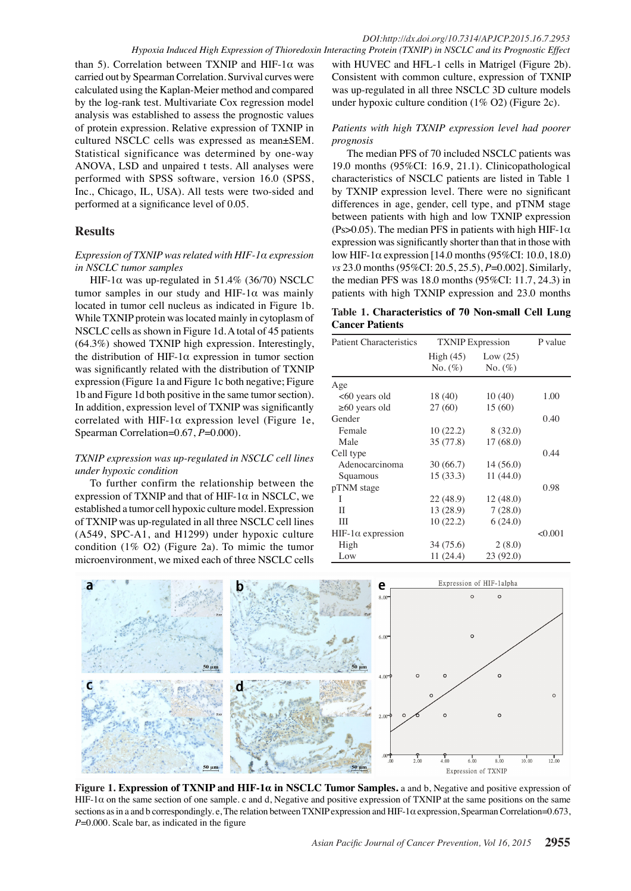than 5). Correlation between TXNIP and HIF-1α was carried out by Spearman Correlation. Survival curves were calculated using the Kaplan-Meier method and compared by the log-rank test. Multivariate Cox regression model analysis was established to assess the prognostic values of protein expression. Relative expression of TXNIP in cultured NSCLC cells was expressed as mean±SEM. Statistical significance was determined by one-way ANOVA, LSD and unpaired t tests. All analyses were performed with SPSS software, version 16.0 (SPSS, Inc., Chicago, IL, USA). All tests were two-sided and performed at a significance level of 0.05.

## **Results**

### *Expression of TXNIP was related with HIF-1α expression in NSCLC tumor samples*

HIF-1α was up-regulated in 51.4% (36/70) NSCLC tumor samples in our study and HIF-1 $\alpha$  was mainly located in tumor cell nucleus as indicated in Figure 1b. While TXNIP protein was located mainly in cytoplasm of NSCLC cells as shown in Figure 1d. A total of 45 patients (64.3%) showed TXNIP high expression. Interestingly, the distribution of HIF-1α expression in tumor section was significantly related with the distribution of TXNIP expression (Figure 1a and Figure 1c both negative; Figure 1b and Figure 1d both positive in the same tumor section). In addition, expression level of TXNIP was significantly correlated with HIF-1 $\alpha$  expression level (Figure 1e, Spearman Correlation=0.67, *P*=0.000).

## *TXNIP expression was up-regulated in NSCLC cell lines under hypoxic condition*

To further confirm the relationship between the expression of TXNIP and that of HIF-1 $\alpha$  in NSCLC, we established a tumor cell hypoxic culture model. Expression of TXNIP was up-regulated in all three NSCLC cell lines (A549, SPC-A1, and H1299) under hypoxic culture condition (1% O2) (Figure 2a). To mimic the tumor microenvironment, we mixed each of three NSCLC cells

with HUVEC and HFL-1 cells in Matrigel (Figure 2b). Consistent with common culture, expression of TXNIP was up-regulated in all three NSCLC 3D culture models under hypoxic culture condition (1% O2) (Figure 2c).

## *Patients with high TXNIP expression level had poorer prognosis*

The median PFS of 70 included NSCLC patients was 19.0 months (95%CI: 16.9, 21.1). Clinicopathological characteristics of NSCLC patients are listed in Table 1 by TXNIP expression level. There were no significant differences in age, gender, cell type, and pTNM stage between patients with high and low TXNIP expression (Ps>0.05). The median PFS in patients with high HIF-1 $\alpha$ expression was significantly shorter than that in those with low HIF-1 $\alpha$  expression [14.0 months (95%CI: 10.0, 18.0) *vs* 23.0 months (95%CI: 20.5, 25.5), *P*=0.002]. Similarly, the median PFS was 18.0 months (95%CI: 11.7, 24.3) in patients with high TXNIP expression and 23.0 months

## **Table 1. Characteristics of 70 Non-small Cell Lung Cancer Patients**

| <b>Patient Characteristics</b> | <b>TXNIP</b> Expression   |                          | P value      |
|--------------------------------|---------------------------|--------------------------|--------------|
|                                | High $(45)$<br>$No. (\%)$ | Low $(25)$<br>No. $(\%)$ |              |
| Age                            |                           |                          |              |
| <60 years old                  | 18(40)                    | 10(40)                   | 1.00         |
| $\geq 60$ years old            | 27(60)                    | 15(60)                   |              |
| Gender                         |                           |                          | 0.40         |
| Female                         | 10(22.2)                  | 8(32.0)                  |              |
| Male                           | 35 (77.8)                 | 17(68.0)                 | 100.0        |
| Cell type                      |                           |                          | 0.44         |
| Adenocarcinoma                 | 30(66.7)                  | 14(56.0)                 |              |
| Squamous                       | 15(33.3)                  | 11(44.0)                 |              |
| pTNM stage                     |                           |                          | 75.0<br>0.98 |
| I                              | 22(48.9)                  | 12(48.0)                 |              |
| Н                              | 13 (28.9)                 | 7(28.0)                  |              |
| Ш                              | 10(22.2)                  | 6(24.0)                  | 50.0         |
| HIF-1α expression              |                           |                          | < 0.001      |
| High                           | 34 (75.6)                 | 2(8.0)                   |              |
| Low                            | 11 (24.4)                 | 23(92.0)                 |              |



**Figure 1. Expression of TXNIP and HIF-1α in NSCLC Tumor Samples.** a and b, Negative and positive expression of HIF-1 $\alpha$  on the same section of one sample. c and d, Negative and positive expression of TXNIP at the same positions on the same sections as in a and b correspondingly. e, The relation between TXNIP expression and HIF-1α expression, Spearman Correlation=0.673, *P*=0.000. Scale bar, as indicated in the figure

**46.8 56.3**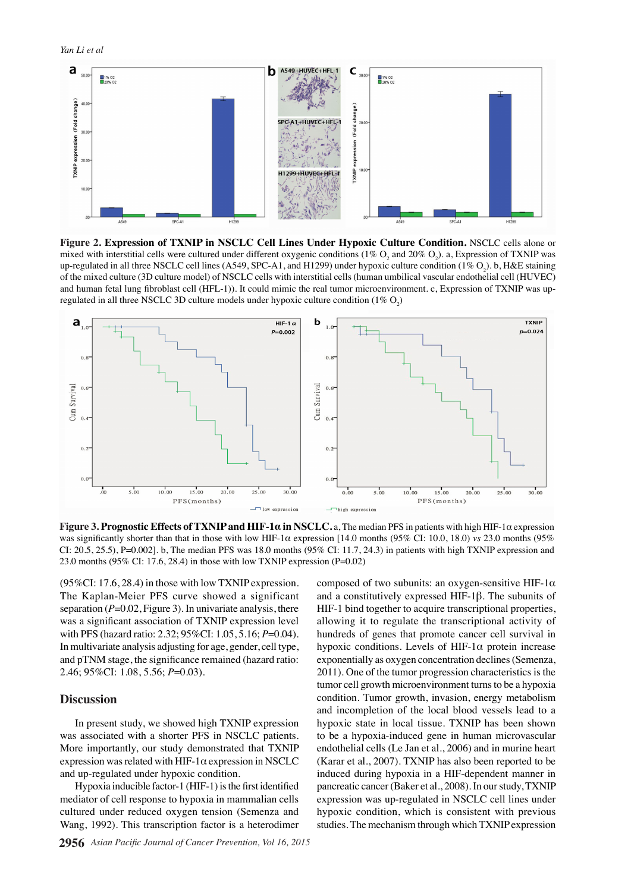

**Figure 2. Expression of TXNIP in NSCLC Cell Lines Under Hypoxic Culture Condition.** NSCLC cells alone or mixed with interstitial cells were cultured under different oxygenic conditions (1%  $\rm O_2$  and 20%  $\rm O_2$ ). a, Expression of TXNIP was up-regulated in all three NSCLC cell lines (A549, SPC-A1, and H1299) under hypoxic culture condition (1% O<sub>2</sub>). b, H&E staining of the mixed culture (3D culture model) of NSCLC cells with interstitial cells (human umbilical vascular endothelial cell (HUVEC) and human fetal lung fibroblast cell (HFL-1)). It could mimic the real tumor microenvironment. c, Expression of TXNIP was upregulated in all three NSCLC 3D culture models under hypoxic culture condition (1%  $O_2$ )



**Figure 3. Prognostic Effects of TXNIP and HIF-1α in NSCLC.** a, The median PFS in patients with high HIF-1α expression was significantly shorter than that in those with low HIF-1α expression [14.0 months (95% CI: 10.0, 18.0) *vs* 23.0 months (95% CI: 20.5, 25.5), P=0.002]. b, The median PFS was 18.0 months (95% CI: 11.7, 24.3) in patients with high TXNIP expression and 23.0 months (95% CI: 17.6, 28.4) in those with low TXNIP expression (P=0.02)

(95%CI: 17.6, 28.4) in those with low TXNIP expression. The Kaplan-Meier PFS curve showed a significant separation  $(P=0.02,$  Figure 3). In univariate analysis, there was a significant association of TXNIP expression level with PFS (hazard ratio: 2.32; 95%CI: 1.05, 5.16; *P*=0.04). In multivariate analysis adjusting for age, gender, cell type, and pTNM stage, the significance remained (hazard ratio: 2.46; 95%CI: 1.08, 5.56; *P*=0.03).

#### **Discussion**

In present study, we showed high TXNIP expression was associated with a shorter PFS in NSCLC patients. More importantly, our study demonstrated that TXNIP expression was related with HIF-1 $\alpha$  expression in NSCLC and up-regulated under hypoxic condition.

Hypoxia inducible factor-1 (HIF-1) is the first identified mediator of cell response to hypoxia in mammalian cells cultured under reduced oxygen tension (Semenza and Wang, 1992). This transcription factor is a heterodimer composed of two subunits: an oxygen-sensitive HIF-1α and a constitutively expressed HIF-1β. The subunits of HIF-1 bind together to acquire transcriptional properties, allowing it to regulate the transcriptional activity of hundreds of genes that promote cancer cell survival in hypoxic conditions. Levels of HIF-1 $\alpha$  protein increase exponentially as oxygen concentration declines (Semenza, 2011). One of the tumor progression characteristics is the tumor cell growth microenvironment turns to be a hypoxia condition. Tumor growth, invasion, energy metabolism and incompletion of the local blood vessels lead to a hypoxic state in local tissue. TXNIP has been shown to be a hypoxia-induced gene in human microvascular endothelial cells (Le Jan et al., 2006) and in murine heart (Karar et al., 2007). TXNIP has also been reported to be induced during hypoxia in a HIF-dependent manner in pancreatic cancer (Baker et al., 2008). In our study, TXNIP expression was up-regulated in NSCLC cell lines under hypoxic condition, which is consistent with previous studies. The mechanism through which TXNIP expression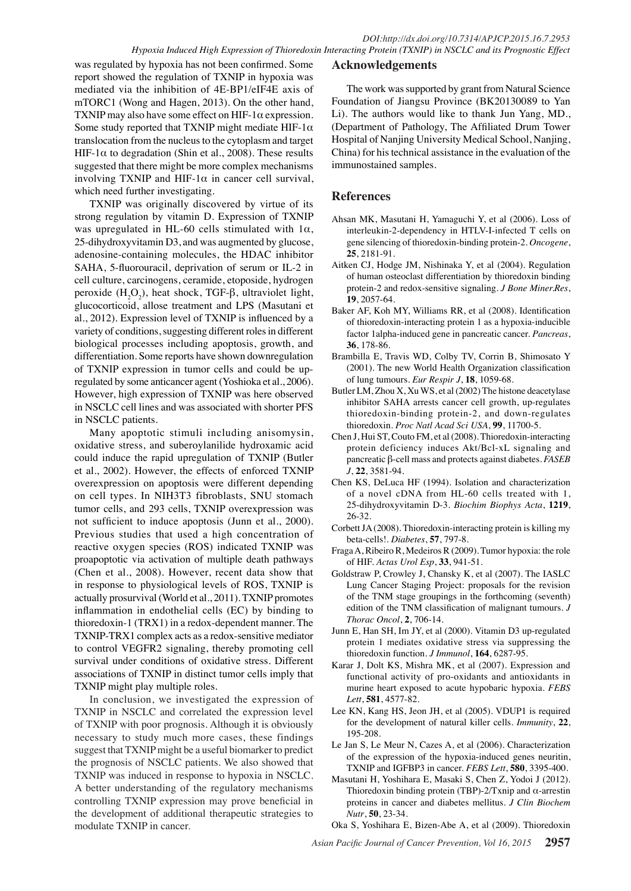was regulated by hypoxia has not been confirmed. Some report showed the regulation of TXNIP in hypoxia was mediated via the inhibition of 4E-BP1/eIF4E axis of mTORC1 (Wong and Hagen, 2013). On the other hand, TXNIP may also have some effect on HIF-1 $\alpha$  expression. Some study reported that TXNIP might mediate HIF-1 $\alpha$ translocation from the nucleus to the cytoplasm and target HIF-1 $\alpha$  to degradation (Shin et al., 2008). These results suggested that there might be more complex mechanisms involving TXNIP and HIF-1 $\alpha$  in cancer cell survival, which need further investigating.

TXNIP was originally discovered by virtue of its strong regulation by vitamin D. Expression of TXNIP was upregulated in HL-60 cells stimulated with  $1\alpha$ , 25-dihydroxyvitamin D3, and was augmented by glucose, adenosine-containing molecules, the HDAC inhibitor SAHA, 5-fluorouracil, deprivation of serum or IL-2 in cell culture, carcinogens, ceramide, etoposide, hydrogen peroxide  $(H_2O_2)$ , heat shock, TGF-β, ultraviolet light, glucocorticoid, allose treatment and LPS (Masutani et al., 2012). Expression level of TXNIP is influenced by a variety of conditions, suggesting different roles in different biological processes including apoptosis, growth, and differentiation. Some reports have shown downregulation of TXNIP expression in tumor cells and could be upregulated by some anticancer agent (Yoshioka et al., 2006). However, high expression of TXNIP was here observed in NSCLC cell lines and was associated with shorter PFS in NSCLC patients.

Many apoptotic stimuli including anisomysin, oxidative stress, and suberoylanilide hydroxamic acid could induce the rapid upregulation of TXNIP (Butler et al., 2002). However, the effects of enforced TXNIP overexpression on apoptosis were different depending on cell types. In NIH3T3 fibroblasts, SNU stomach tumor cells, and 293 cells, TXNIP overexpression was not sufficient to induce apoptosis (Junn et al., 2000). Previous studies that used a high concentration of reactive oxygen species (ROS) indicated TXNIP was proapoptotic via activation of multiple death pathways (Chen et al., 2008). However, recent data show that in response to physiological levels of ROS, TXNIP is actually prosurvival (World et al., 2011). TXNIP promotes inflammation in endothelial cells (EC) by binding to thioredoxin-1 (TRX1) in a redox-dependent manner. The TXNIP-TRX1 complex acts as a redox-sensitive mediator to control VEGFR2 signaling, thereby promoting cell survival under conditions of oxidative stress. Different associations of TXNIP in distinct tumor cells imply that TXNIP might play multiple roles.

In conclusion, we investigated the expression of TXNIP in NSCLC and correlated the expression level of TXNIP with poor prognosis. Although it is obviously necessary to study much more cases, these findings suggest that TXNIP might be a useful biomarker to predict the prognosis of NSCLC patients. We also showed that TXNIP was induced in response to hypoxia in NSCLC. A better understanding of the regulatory mechanisms controlling TXNIP expression may prove beneficial in the development of additional therapeutic strategies to modulate TXNIP in cancer.

## **Acknowledgements**

The work was supported by grant from Natural Science Foundation of Jiangsu Province (BK20130089 to Yan Li). The authors would like to thank Jun Yang, MD., (Department of Pathology, The Affiliated Drum Tower Hospital of Nanjing University Medical School, Nanjing, China) for his technical assistance in the evaluation of the immunostained samples.

## **References**

- Ahsan MK, Masutani H, Yamaguchi Y, et al (2006). Loss of interleukin-2-dependency in HTLV-I-infected T cells on gene silencing of thioredoxin-binding protein-2. *Oncogene*, **25**, 2181-91.
- Aitken CJ, Hodge JM, Nishinaka Y, et al (2004). Regulation of human osteoclast differentiation by thioredoxin binding protein-2 and redox-sensitive signaling. *J Bone Miner.Res*, **19**, 2057-64.
- Baker AF, Koh MY, Williams RR, et al (2008). Identification of thioredoxin-interacting protein 1 as a hypoxia-inducible factor 1alpha-induced gene in pancreatic cancer. *Pancreas*, **36**, 178-86.
- Brambilla E, Travis WD, Colby TV, Corrin B, Shimosato Y (2001). The new World Health Organization classification of lung tumours. *Eur Respir J*, **18**, 1059-68.
- Butler LM, Zhou X, Xu WS, et al (2002) The histone deacetylase inhibitor SAHA arrests cancer cell growth, up-regulates thioredoxin-binding protein-2, and down-regulates thioredoxin. *Proc Natl Acad Sci USA*, **99**, 11700-5.
- Chen J, Hui ST, Couto FM, et al (2008). Thioredoxin-interacting protein deficiency induces Akt/Bcl-xL signaling and pancreatic β-cell mass and protects against diabetes. *FASEB J*, **22**, 3581-94.
- Chen KS, DeLuca HF (1994). Isolation and characterization of a novel cDNA from HL-60 cells treated with 1, 25-dihydroxyvitamin D-3. *Biochim Biophys Acta*, **1219**, 26-32.
- Corbett JA (2008). Thioredoxin-interacting protein is killing my beta-cells!. *Diabetes*, **57**, 797-8.
- Fraga A, Ribeiro R, Medeiros R (2009). Tumor hypoxia: the role of HIF. *Actas Urol Esp*, **33**, 941-51.
- Goldstraw P, Crowley J, Chansky K, et al (2007). The IASLC Lung Cancer Staging Project: proposals for the revision of the TNM stage groupings in the forthcoming (seventh) edition of the TNM classification of malignant tumours. *J Thorac Oncol*, **2**, 706-14.
- Junn E, Han SH, Im JY, et al (2000). Vitamin D3 up-regulated protein 1 mediates oxidative stress via suppressing the thioredoxin function. *J Immunol*, **164**, 6287-95.
- Karar J, Dolt KS, Mishra MK, et al (2007). Expression and functional activity of pro-oxidants and antioxidants in murine heart exposed to acute hypobaric hypoxia. *FEBS Lett*, **581**, 4577-82.
- Lee KN, Kang HS, Jeon JH, et al (2005). VDUP1 is required for the development of natural killer cells. *Immunity*, **22**, 195-208.
- Le Jan S, Le Meur N, Cazes A, et al (2006). Characterization of the expression of the hypoxia-induced genes neuritin, TXNIP and IGFBP3 in cancer. *FEBS Lett*, **580**, 3395-400.
- Masutani H, Yoshihara E, Masaki S, Chen Z, Yodoi J (2012). Thioredoxin binding protein (TBP)-2/Txnip and α-arrestin proteins in cancer and diabetes mellitus. *J Clin Biochem Nutr*, **50**, 23-34.

Oka S, Yoshihara E, Bizen-Abe A, et al (2009). Thioredoxin